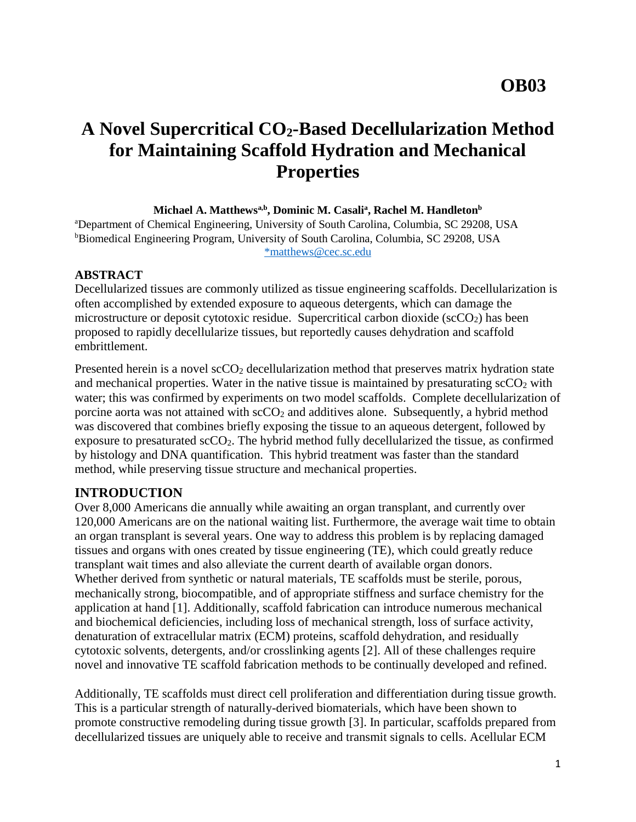# **A Novel Supercritical CO2-Based Decellularization Method for Maintaining Scaffold Hydration and Mechanical Properties**

#### **Michael A. Matthewsa,b , Dominic M. Casali<sup>a</sup> , Rachel M. Handleton<sup>b</sup>**

<sup>a</sup>Department of Chemical Engineering, University of South Carolina, Columbia, SC 29208, USA <sup>b</sup>Biomedical Engineering Program, University of South Carolina, Columbia, SC 29208, USA [\\*matthews@cec.sc.edu](mailto:*matthews@cec.sc.edu)

#### **ABSTRACT**

Decellularized tissues are commonly utilized as tissue engineering scaffolds. Decellularization is often accomplished by extended exposure to aqueous detergents, which can damage the microstructure or deposit cytotoxic residue. Supercritical carbon dioxide ( $\text{scCO}_2$ ) has been proposed to rapidly decellularize tissues, but reportedly causes dehydration and scaffold embrittlement.

Presented herein is a novel scCO<sub>2</sub> decellularization method that preserves matrix hydration state and mechanical properties. Water in the native tissue is maintained by presaturating  $\sec O_2$  with water; this was confirmed by experiments on two model scaffolds. Complete decellularization of porcine aorta was not attained with  $\sec O_2$  and additives alone. Subsequently, a hybrid method was discovered that combines briefly exposing the tissue to an aqueous detergent, followed by exposure to presaturated  $\sec 0_2$ . The hybrid method fully decellularized the tissue, as confirmed by histology and DNA quantification. This hybrid treatment was faster than the standard method, while preserving tissue structure and mechanical properties.

#### **INTRODUCTION**

Over 8,000 Americans die annually while awaiting an organ transplant, and currently over 120,000 Americans are on the national waiting list. Furthermore, the average wait time to obtain an organ transplant is several years. One way to address this problem is by replacing damaged tissues and organs with ones created by tissue engineering (TE), which could greatly reduce transplant wait times and also alleviate the current dearth of available organ donors. Whether derived from synthetic or natural materials, TE scaffolds must be sterile, porous, mechanically strong, biocompatible, and of appropriate stiffness and surface chemistry for the application at hand [\[1\]](#page-6-0). Additionally, scaffold fabrication can introduce numerous mechanical and biochemical deficiencies, including loss of mechanical strength, loss of surface activity, denaturation of extracellular matrix (ECM) proteins, scaffold dehydration, and residually cytotoxic solvents, detergents, and/or crosslinking agents [\[2\]](#page-6-1). All of these challenges require novel and innovative TE scaffold fabrication methods to be continually developed and refined.

Additionally, TE scaffolds must direct cell proliferation and differentiation during tissue growth. This is a particular strength of naturally-derived biomaterials, which have been shown to promote constructive remodeling during tissue growth [\[3\]](#page-6-2). In particular, scaffolds prepared from decellularized tissues are uniquely able to receive and transmit signals to cells. Acellular ECM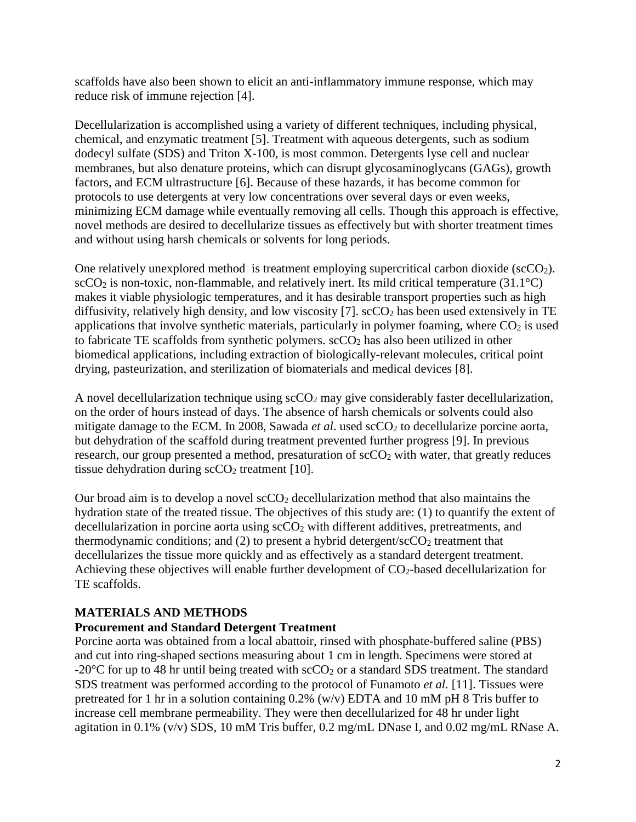scaffolds have also been shown to elicit an anti-inflammatory immune response, which may reduce risk of immune rejection [\[4\]](#page-6-3).

Decellularization is accomplished using a variety of different techniques, including physical, chemical, and enzymatic treatment [\[5\]](#page-6-4). Treatment with aqueous detergents, such as sodium dodecyl sulfate (SDS) and Triton X-100, is most common. Detergents lyse cell and nuclear membranes, but also denature proteins, which can disrupt glycosaminoglycans (GAGs), growth factors, and ECM ultrastructure [\[6\]](#page-6-5). Because of these hazards, it has become common for protocols to use detergents at very low concentrations over several days or even weeks, minimizing ECM damage while eventually removing all cells. Though this approach is effective, novel methods are desired to decellularize tissues as effectively but with shorter treatment times and without using harsh chemicals or solvents for long periods.

One relatively unexplored method is treatment employing supercritical carbon dioxide ( $\text{scCO}_2$ ).  $\text{scCO}_2$  is non-toxic, non-flammable, and relatively inert. Its mild critical temperature (31.1 $\textdegree$ C) makes it viable physiologic temperatures, and it has desirable transport properties such as high diffusivity, relatively high density, and low viscosity [\[7\]](#page-6-6).  $\sec O_2$  has been used extensively in TE applications that involve synthetic materials, particularly in polymer foaming, where  $CO<sub>2</sub>$  is used to fabricate TE scaffolds from synthetic polymers.  $\sec O_2$  has also been utilized in other biomedical applications, including extraction of biologically-relevant molecules, critical point drying, pasteurization, and sterilization of biomaterials and medical devices [\[8\]](#page-7-0).

A novel decellularization technique using  $\sec O_2$  may give considerably faster decellularization, on the order of hours instead of days. The absence of harsh chemicals or solvents could also mitigate damage to the ECM. In 2008, Sawada *et al.* used scCO<sub>2</sub> to decellularize porcine aorta, but dehydration of the scaffold during treatment prevented further progress [\[9\]](#page-7-1). In previous research, our group presented a method, presaturation of  $\sec O_2$  with water, that greatly reduces tissue dehydration during  $\sec O_2$  treatment [\[10\]](#page-7-2).

Our broad aim is to develop a novel  $\sec O_2$  decellularization method that also maintains the hydration state of the treated tissue. The objectives of this study are: (1) to quantify the extent of decellularization in porcine aorta using  $\sec O_2$  with different additives, pretreatments, and thermodynamic conditions; and  $(2)$  to present a hybrid detergent/sc $CO<sub>2</sub>$  treatment that decellularizes the tissue more quickly and as effectively as a standard detergent treatment. Achieving these objectives will enable further development of  $CO<sub>2</sub>$ -based decellularization for TE scaffolds.

## **MATERIALS AND METHODS**

## **Procurement and Standard Detergent Treatment**

Porcine aorta was obtained from a local abattoir, rinsed with phosphate-buffered saline (PBS) and cut into ring-shaped sections measuring about 1 cm in length. Specimens were stored at -20 $\degree$ C for up to 48 hr until being treated with scCO<sub>2</sub> or a standard SDS treatment. The standard SDS treatment was performed according to the protocol of Funamoto *et al.* [\[11\]](#page-7-3). Tissues were pretreated for 1 hr in a solution containing  $0.2\%$  (w/v) EDTA and 10 mM pH 8 Tris buffer to increase cell membrane permeability. They were then decellularized for 48 hr under light agitation in 0.1% (v/v) SDS, 10 mM Tris buffer, 0.2 mg/mL DNase I, and 0.02 mg/mL RNase A.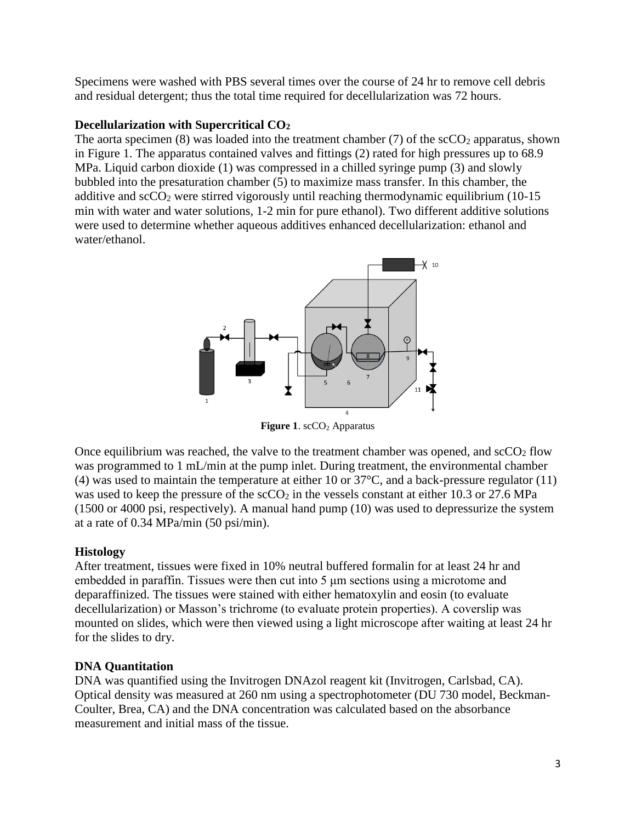Specimens were washed with PBS several times over the course of 24 hr to remove cell debris and residual detergent; thus the total time required for decellularization was 72 hours.

## **Decellularization with Supercritical CO<sup>2</sup>**

The aorta specimen (8) was loaded into the treatment chamber (7) of the  $\sec O_2$  apparatus, shown in Figure 1. The apparatus contained valves and fittings (2) rated for high pressures up to 68.9 MPa. Liquid carbon dioxide (1) was compressed in a chilled syringe pump (3) and slowly bubbled into the presaturation chamber (5) to maximize mass transfer. In this chamber, the additive and  $\sec O_2$  were stirred vigorously until reaching thermodynamic equilibrium (10-15 min with water and water solutions, 1-2 min for pure ethanol). Two different additive solutions were used to determine whether aqueous additives enhanced decellularization: ethanol and water/ethanol.



**Figure 1.** scCO<sub>2</sub> Apparatus

Once equilibrium was reached, the valve to the treatment chamber was opened, and  $\rm{scO_2}$  flow was programmed to 1 mL/min at the pump inlet. During treatment, the environmental chamber (4) was used to maintain the temperature at either 10 or 37°C, and a back-pressure regulator (11) was used to keep the pressure of the  $\rm{scCO_2}$  in the vessels constant at either 10.3 or 27.6 MPa (1500 or 4000 psi, respectively). A manual hand pump (10) was used to depressurize the system at a rate of 0.34 MPa/min (50 psi/min).

## **Histology**

After treatment, tissues were fixed in 10% neutral buffered formalin for at least 24 hr and embedded in paraffin. Tissues were then cut into 5 μm sections using a microtome and deparaffinized. The tissues were stained with either hematoxylin and eosin (to evaluate decellularization) or Masson's trichrome (to evaluate protein properties). A coverslip was mounted on slides, which were then viewed using a light microscope after waiting at least 24 hr for the slides to dry.

# **DNA Quantitation**

DNA was quantified using the Invitrogen DNAzol reagent kit (Invitrogen, Carlsbad, CA). Optical density was measured at 260 nm using a spectrophotometer (DU 730 model, Beckman-Coulter, Brea, CA) and the DNA concentration was calculated based on the absorbance measurement and initial mass of the tissue.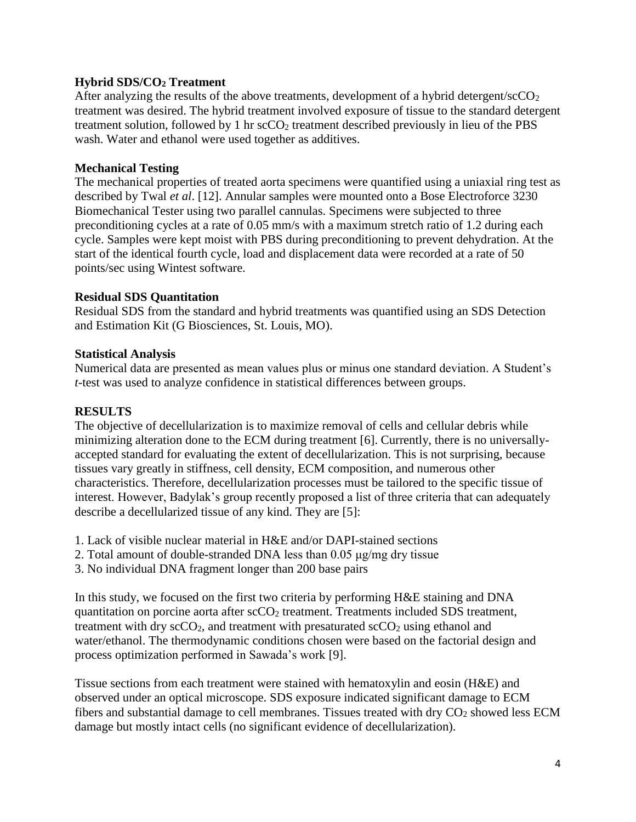#### **Hybrid SDS/CO<sup>2</sup> Treatment**

After analyzing the results of the above treatments, development of a hybrid detergent/ $\secO<sub>2</sub>$ treatment was desired. The hybrid treatment involved exposure of tissue to the standard detergent treatment solution, followed by 1 hr  $\rm{s}\rm{c}\rm{C}\rm{O}$ <sub>2</sub> treatment described previously in lieu of the PBS wash. Water and ethanol were used together as additives.

#### **Mechanical Testing**

The mechanical properties of treated aorta specimens were quantified using a uniaxial ring test as described by Twal *et al*. [\[12\]](#page-7-4). Annular samples were mounted onto a Bose Electroforce 3230 Biomechanical Tester using two parallel cannulas. Specimens were subjected to three preconditioning cycles at a rate of 0.05 mm/s with a maximum stretch ratio of 1.2 during each cycle. Samples were kept moist with PBS during preconditioning to prevent dehydration. At the start of the identical fourth cycle, load and displacement data were recorded at a rate of 50 points/sec using Wintest software.

#### **Residual SDS Quantitation**

Residual SDS from the standard and hybrid treatments was quantified using an SDS Detection and Estimation Kit (G Biosciences, St. Louis, MO).

#### **Statistical Analysis**

Numerical data are presented as mean values plus or minus one standard deviation. A Student's *t*-test was used to analyze confidence in statistical differences between groups.

## **RESULTS**

The objective of decellularization is to maximize removal of cells and cellular debris while minimizing alteration done to the ECM during treatment [\[6\]](#page-6-5). Currently, there is no universallyaccepted standard for evaluating the extent of decellularization. This is not surprising, because tissues vary greatly in stiffness, cell density, ECM composition, and numerous other characteristics. Therefore, decellularization processes must be tailored to the specific tissue of interest. However, Badylak's group recently proposed a list of three criteria that can adequately describe a decellularized tissue of any kind. They are [\[5\]](#page-6-4):

- 1. Lack of visible nuclear material in H&E and/or DAPI-stained sections
- 2. Total amount of double-stranded DNA less than 0.05 μg/mg dry tissue
- 3. No individual DNA fragment longer than 200 base pairs

In this study, we focused on the first two criteria by performing H&E staining and DNA quantitation on porcine aorta after scCO<sub>2</sub> treatment. Treatments included SDS treatment, treatment with dry  $\sec O_2$ , and treatment with presaturated  $\sec O_2$  using ethanol and water/ethanol. The thermodynamic conditions chosen were based on the factorial design and process optimization performed in Sawada's work [\[9\]](#page-7-1).

Tissue sections from each treatment were stained with hematoxylin and eosin (H&E) and observed under an optical microscope. SDS exposure indicated significant damage to ECM fibers and substantial damage to cell membranes. Tissues treated with dry  $CO<sub>2</sub>$  showed less ECM damage but mostly intact cells (no significant evidence of decellularization).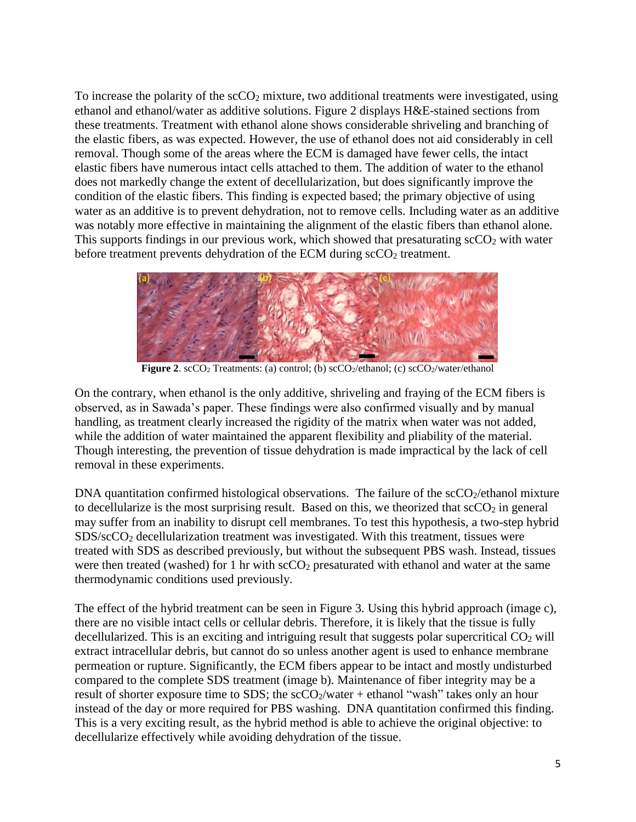To increase the polarity of the  $\sec O_2$  mixture, two additional treatments were investigated, using ethanol and ethanol/water as additive solutions. Figure 2 displays H&E-stained sections from these treatments. Treatment with ethanol alone shows considerable shriveling and branching of the elastic fibers, as was expected. However, the use of ethanol does not aid considerably in cell removal. Though some of the areas where the ECM is damaged have fewer cells, the intact elastic fibers have numerous intact cells attached to them. The addition of water to the ethanol does not markedly change the extent of decellularization, but does significantly improve the condition of the elastic fibers. This finding is expected based; the primary objective of using water as an additive is to prevent dehydration, not to remove cells. Including water as an additive was notably more effective in maintaining the alignment of the elastic fibers than ethanol alone. This supports findings in our previous work, which showed that presaturating  $\sec O_2$  with water before treatment prevents dehydration of the ECM during  $\text{scCO}_2$  treatment.



**Figure 2.** scCO<sub>2</sub> Treatments: (a) control; (b) scCO<sub>2</sub>/ethanol; (c) scCO<sub>2</sub>/water/ethanol

On the contrary, when ethanol is the only additive, shriveling and fraying of the ECM fibers is observed, as in Sawada's paper. These findings were also confirmed visually and by manual handling, as treatment clearly increased the rigidity of the matrix when water was not added, while the addition of water maintained the apparent flexibility and pliability of the material. Though interesting, the prevention of tissue dehydration is made impractical by the lack of cell removal in these experiments.

DNA quantitation confirmed histological observations. The failure of the  $\text{scCO}_2/\text{eth}$  mixture to decellularize is the most surprising result. Based on this, we theorized that  $\sec O_2$  in general may suffer from an inability to disrupt cell membranes. To test this hypothesis, a two-step hybrid SDS/scCO<sup>2</sup> decellularization treatment was investigated. With this treatment, tissues were treated with SDS as described previously, but without the subsequent PBS wash. Instead, tissues were then treated (washed) for 1 hr with  $\sec O_2$  presaturated with ethanol and water at the same thermodynamic conditions used previously.

The effect of the hybrid treatment can be seen in Figure 3. Using this hybrid approach (image c), there are no visible intact cells or cellular debris. Therefore, it is likely that the tissue is fully decellularized. This is an exciting and intriguing result that suggests polar supercritical  $CO<sub>2</sub>$  will extract intracellular debris, but cannot do so unless another agent is used to enhance membrane permeation or rupture. Significantly, the ECM fibers appear to be intact and mostly undisturbed compared to the complete SDS treatment (image b). Maintenance of fiber integrity may be a result of shorter exposure time to SDS; the  $\frac{\text{cCO}_2}{\text{water}} + \text{ethanol}$  "wash" takes only an hour instead of the day or more required for PBS washing. DNA quantitation confirmed this finding. This is a very exciting result, as the hybrid method is able to achieve the original objective: to decellularize effectively while avoiding dehydration of the tissue.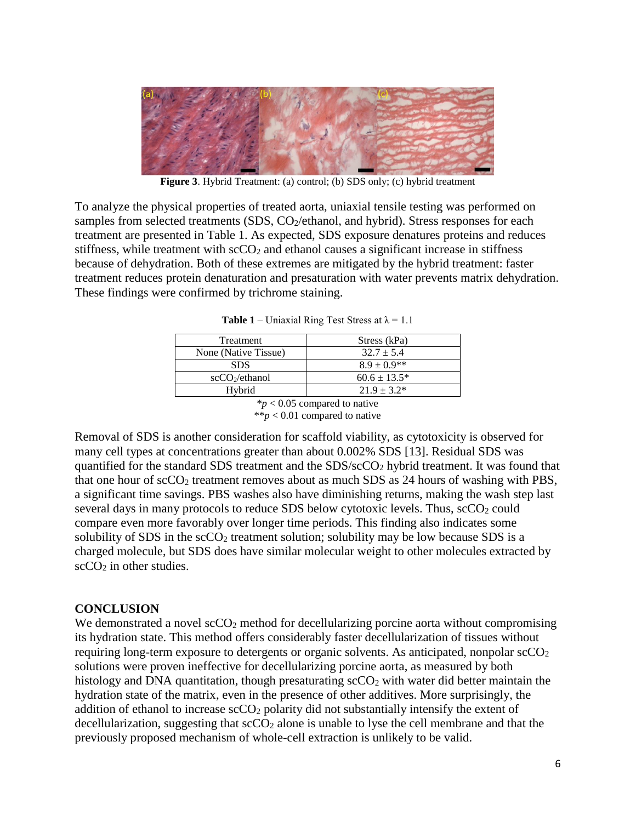

**Figure 3**. Hybrid Treatment: (a) control; (b) SDS only; (c) hybrid treatment

To analyze the physical properties of treated aorta, uniaxial tensile testing was performed on samples from selected treatments (SDS, CO<sub>2</sub>/ethanol, and hybrid). Stress responses for each treatment are presented in Table 1. As expected, SDS exposure denatures proteins and reduces stiffness, while treatment with  $\sec O_2$  and ethanol causes a significant increase in stiffness because of dehydration. Both of these extremes are mitigated by the hybrid treatment: faster treatment reduces protein denaturation and presaturation with water prevents matrix dehydration. These findings were confirmed by trichrome staining.

| Stress (kPa)      |
|-------------------|
| $32.7 \pm 5.4$    |
| $8.9 \pm 0.9$ **  |
| $60.6 \pm 13.5^*$ |
| $21.9 + 3.2*$     |
|                   |

\**p* < 0.05 compared to native \*\* $p < 0.01$  compared to native

Removal of SDS is another consideration for scaffold viability, as cytotoxicity is observed for many cell types at concentrations greater than about 0.002% SDS [\[13\]](#page-7-5). Residual SDS was quantified for the standard SDS treatment and the SDS/scCO<sub>2</sub> hybrid treatment. It was found that that one hour of  $\sec 0_2$  treatment removes about as much SDS as 24 hours of washing with PBS, a significant time savings. PBS washes also have diminishing returns, making the wash step last several days in many protocols to reduce SDS below cytotoxic levels. Thus,  $\sec O_2$  could compare even more favorably over longer time periods. This finding also indicates some solubility of SDS in the  $\sec 0_2$  treatment solution; solubility may be low because SDS is a charged molecule, but SDS does have similar molecular weight to other molecules extracted by  $scCO<sub>2</sub>$  in other studies.

#### **CONCLUSION**

We demonstrated a novel  $\sec O_2$  method for decellularizing porcine aorta without compromising its hydration state. This method offers considerably faster decellularization of tissues without requiring long-term exposure to detergents or organic solvents. As anticipated, nonpolar  $\text{scCO}_2$ solutions were proven ineffective for decellularizing porcine aorta, as measured by both histology and DNA quantitation, though presaturating  $\sec O_2$  with water did better maintain the hydration state of the matrix, even in the presence of other additives. More surprisingly, the addition of ethanol to increase  $\sec O_2$  polarity did not substantially intensify the extent of decellularization, suggesting that  $\secO_2$  alone is unable to lyse the cell membrane and that the previously proposed mechanism of whole-cell extraction is unlikely to be valid.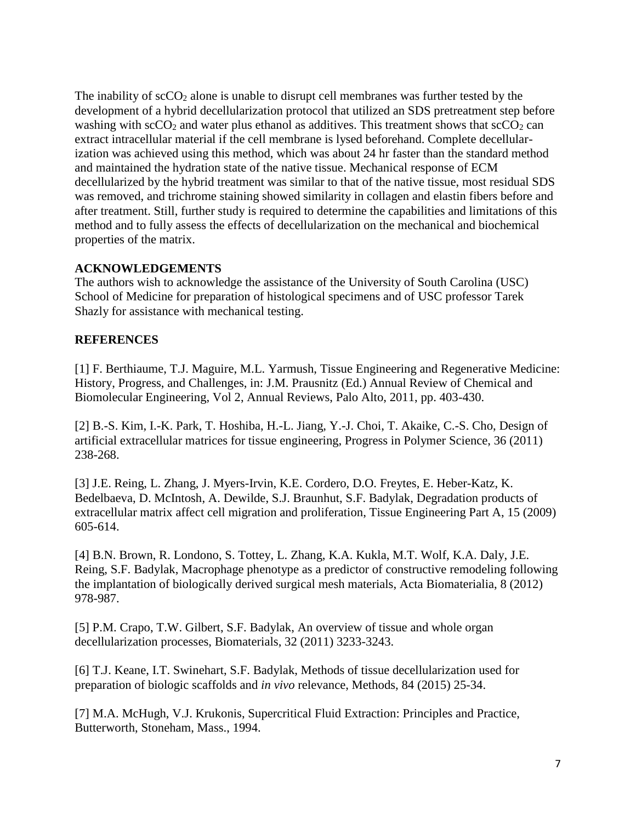The inability of  $\sec O_2$  alone is unable to disrupt cell membranes was further tested by the development of a hybrid decellularization protocol that utilized an SDS pretreatment step before washing with  $\sec O_2$  and water plus ethanol as additives. This treatment shows that  $\sec O_2$  can extract intracellular material if the cell membrane is lysed beforehand. Complete decellularization was achieved using this method, which was about 24 hr faster than the standard method and maintained the hydration state of the native tissue. Mechanical response of ECM decellularized by the hybrid treatment was similar to that of the native tissue, most residual SDS was removed, and trichrome staining showed similarity in collagen and elastin fibers before and after treatment. Still, further study is required to determine the capabilities and limitations of this method and to fully assess the effects of decellularization on the mechanical and biochemical properties of the matrix.

# **ACKNOWLEDGEMENTS**

The authors wish to acknowledge the assistance of the University of South Carolina (USC) School of Medicine for preparation of histological specimens and of USC professor Tarek Shazly for assistance with mechanical testing.

# <span id="page-6-0"></span>**REFERENCES**

[1] F. Berthiaume, T.J. Maguire, M.L. Yarmush, Tissue Engineering and Regenerative Medicine: History, Progress, and Challenges, in: J.M. Prausnitz (Ed.) Annual Review of Chemical and Biomolecular Engineering, Vol 2, Annual Reviews, Palo Alto, 2011, pp. 403-430.

<span id="page-6-1"></span>[2] B.-S. Kim, I.-K. Park, T. Hoshiba, H.-L. Jiang, Y.-J. Choi, T. Akaike, C.-S. Cho, Design of artificial extracellular matrices for tissue engineering, Progress in Polymer Science, 36 (2011) 238-268.

<span id="page-6-2"></span>[3] J.E. Reing, L. Zhang, J. Myers-Irvin, K.E. Cordero, D.O. Freytes, E. Heber-Katz, K. Bedelbaeva, D. McIntosh, A. Dewilde, S.J. Braunhut, S.F. Badylak, Degradation products of extracellular matrix affect cell migration and proliferation, Tissue Engineering Part A, 15 (2009) 605-614.

<span id="page-6-3"></span>[4] B.N. Brown, R. Londono, S. Tottey, L. Zhang, K.A. Kukla, M.T. Wolf, K.A. Daly, J.E. Reing, S.F. Badylak, Macrophage phenotype as a predictor of constructive remodeling following the implantation of biologically derived surgical mesh materials, Acta Biomaterialia, 8 (2012) 978-987.

<span id="page-6-4"></span>[5] P.M. Crapo, T.W. Gilbert, S.F. Badylak, An overview of tissue and whole organ decellularization processes, Biomaterials, 32 (2011) 3233-3243.

<span id="page-6-5"></span>[6] T.J. Keane, I.T. Swinehart, S.F. Badylak, Methods of tissue decellularization used for preparation of biologic scaffolds and *in vivo* relevance, Methods, 84 (2015) 25-34.

<span id="page-6-6"></span>[7] M.A. McHugh, V.J. Krukonis, Supercritical Fluid Extraction: Principles and Practice, Butterworth, Stoneham, Mass., 1994.